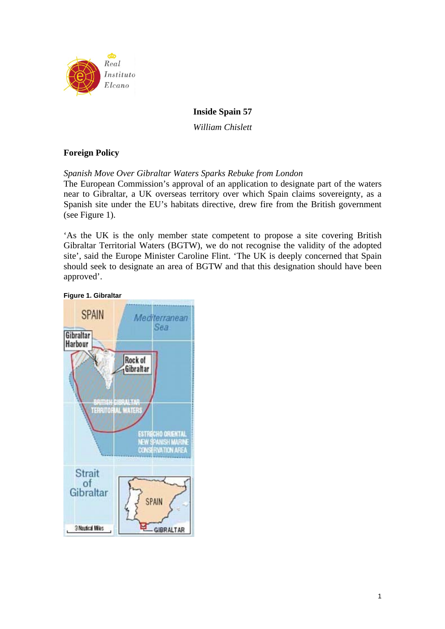

# **Inside Spain 57**

*William Chislett* 

# **Foreign Policy**

*Spanish Move Over Gibraltar Waters Sparks Rebuke from London* 

The European Commission's approval of an application to designate part of the waters near to Gibraltar, a UK overseas territory over which Spain claims sovereignty, as a Spanish site under the EU's habitats directive, drew fire from the British government (see Figure 1).

'As the UK is the only member state competent to propose a site covering British Gibraltar Territorial Waters (BGTW), we do not recognise the validity of the adopted site', said the Europe Minister Caroline Flint. 'The UK is deeply concerned that Spain should seek to designate an area of BGTW and that this designation should have been approved'.

### **Figure 1. Gibraltar**

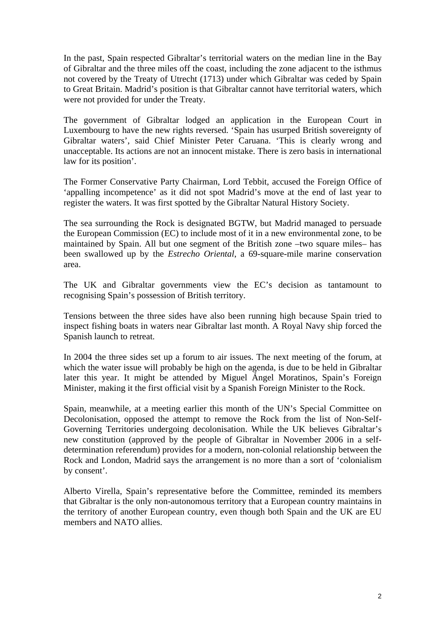In the past, Spain respected Gibraltar's territorial waters on the median line in the Bay of Gibraltar and the three miles off the coast, including the zone adjacent to the isthmus not covered by the Treaty of Utrecht (1713) under which Gibraltar was ceded by Spain to Great Britain. Madrid's position is that Gibraltar cannot have territorial waters, which were not provided for under the Treaty.

The government of Gibraltar lodged an application in the European Court in Luxembourg to have the new rights reversed. 'Spain has usurped British sovereignty of Gibraltar waters', said Chief Minister Peter Caruana. 'This is clearly wrong and unacceptable. Its actions are not an innocent mistake. There is zero basis in international law for its position'.

The Former Conservative Party Chairman, Lord Tebbit, accused the Foreign Office of 'appalling incompetence' as it did not spot Madrid's move at the end of last year to register the waters. It was first spotted by the Gibraltar Natural History Society.

The sea surrounding the Rock is designated BGTW, but Madrid managed to persuade the European Commission (EC) to include most of it in a new environmental zone, to be maintained by Spain. All but one segment of the British zone –two square miles– has been swallowed up by the *Estrecho Oriental*, a 69-square-mile marine conservation area.

The UK and Gibraltar governments view the EC's decision as tantamount to recognising Spain's possession of British territory.

Tensions between the three sides have also been running high because Spain tried to inspect fishing boats in waters near Gibraltar last month. A Royal Navy ship forced the Spanish launch to retreat.

In 2004 the three sides set up a forum to air issues. The next meeting of the forum, at which the water issue will probably be high on the agenda, is due to be held in Gibraltar later this year. It might be attended by Miguel Ángel Moratinos, Spain's Foreign Minister, making it the first official visit by a Spanish Foreign Minister to the Rock.

Spain, meanwhile, at a meeting earlier this month of the UN's Special Committee on Decolonisation, opposed the attempt to remove the Rock from the list of Non-Self-Governing Territories undergoing decolonisation. While the UK believes Gibraltar's new constitution (approved by the people of Gibraltar in November 2006 in a selfdetermination referendum) provides for a modern, non-colonial relationship between the Rock and London, Madrid says the arrangement is no more than a sort of 'colonialism by consent'.

Alberto Virella, Spain's representative before the Committee, reminded its members that Gibraltar is the only non-autonomous territory that a European country maintains in the territory of another European country, even though both Spain and the UK are EU members and NATO allies.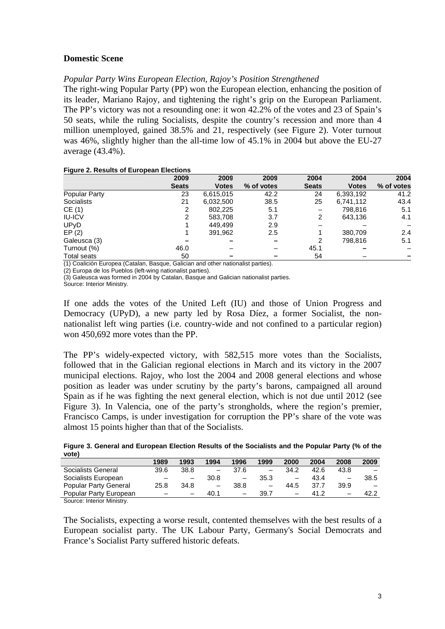## **Domestic Scene**

# *Popular Party Wins European Election, Rajoy's Position Strengthened*

The right-wing Popular Party (PP) won the European election, enhancing the position of its leader, Mariano Rajoy, and tightening the right's grip on the European Parliament. The PP's victory was not a resounding one: it won 42.2% of the votes and 23 of Spain's 50 seats, while the ruling Socialists, despite the country's recession and more than 4 million unemployed, gained 38.5% and 21, respectively (see Figure 2). Voter turnout was 46%, slightly higher than the all-time low of 45.1% in 2004 but above the EU-27 average (43.4%).

#### **Figure 2. Results of European Elections**

|                      | 2009         | 2009         | 2009       | 2004         | 2004         | 2004       |
|----------------------|--------------|--------------|------------|--------------|--------------|------------|
|                      | <b>Seats</b> | <b>Votes</b> | % of votes | <b>Seats</b> | <b>Votes</b> | % of votes |
| <b>Popular Party</b> | 23           | 6,615,015    | 42.2       | 24           | 6,393,192    | 41.2       |
| Socialists           | 21           | 6,032,500    | 38.5       | 25           | 6,741,112    | 43.4       |
| CE(1)                | 2            | 802.225      | 5.1        |              | 798.816      | 5.1        |
| <b>IU-ICV</b>        | 2            | 583,708      | 3.7        | 2            | 643,136      | 4.1        |
| UPyD                 |              | 449.499      | 2.9        |              |              |            |
| EP(2)                |              | 391,962      | 2.5        |              | 380,709      | 2.4        |
| Galeusca (3)         |              |              |            | 2            | 798.816      | 5.1        |
| Turnout (%)          | 46.0         |              |            | 45.1         |              |            |
| <b>Total seats</b>   | 50           |              |            | 54           |              |            |

(1) Coalición Europea (Catalan, Basque, Galician and other nationalist parties).

(2) Europa de los Pueblos (left-wing nationalist parties).

(3) Galeusca was formed in 2004 by Catalan, Basque and Galician nationalist parties.

Source: Interior Ministry.

If one adds the votes of the United Left (IU) and those of Union Progress and Democracy (UPyD), a new party led by Rosa Díez, a former Socialist, the nonnationalist left wing parties (i.e. country-wide and not confined to a particular region) won 450,692 more votes than the PP.

The PP's widely-expected victory, with 582,515 more votes than the Socialists, followed that in the Galician regional elections in March and its victory in the 2007 municipal elections. Rajoy, who lost the 2004 and 2008 general elections and whose position as leader was under scrutiny by the party's barons, campaigned all around Spain as if he was fighting the next general election, which is not due until 2012 (see Figure 3). In Valencia, one of the party's strongholds, where the region's premier, Francisco Camps, is under investigation for corruption the PP's share of the vote was almost 15 points higher than that of the Socialists.

|       | Figure 3. General and European Election Results of the Socialists and the Popular Party (% of the |  |  |  |  |
|-------|---------------------------------------------------------------------------------------------------|--|--|--|--|
| vote) |                                                                                                   |  |  |  |  |
|       |                                                                                                   |  |  |  |  |

|                              | 1989                     | 1993                     | 1994 | 1996                     | 1999                     | 2000                     | 2004 | 2008                     | 2009 |
|------------------------------|--------------------------|--------------------------|------|--------------------------|--------------------------|--------------------------|------|--------------------------|------|
| Socialists General           | 39.6                     | 38.8                     |      | 37.6                     | $\qquad \qquad -$        | 34.2                     | 42.6 | 43.8                     |      |
| Socialists European          | $\overline{\phantom{0}}$ | $\overline{\phantom{0}}$ | 30.8 | $\overline{\phantom{m}}$ | 35.3                     |                          | 43.4 | $\overline{\phantom{0}}$ | 38.5 |
| <b>Popular Party General</b> | 25.8                     | 34.8                     |      | 38.8                     | $\overline{\phantom{0}}$ | 44.5                     | 37.7 | 39.9                     |      |
| Popular Party European       |                          | -                        | 40.1 |                          | 39.7                     | $\overline{\phantom{0}}$ | 41.2 | $\overline{\phantom{0}}$ | 42.2 |
| Source: Interior Minietry    |                          |                          |      |                          |                          |                          |      |                          |      |

Source: Interior Ministry.

The Socialists, expecting a worse result, contented themselves with the best results of a European socialist party. The UK Labour Party, Germany's Social Democrats and France's Socialist Party suffered historic defeats.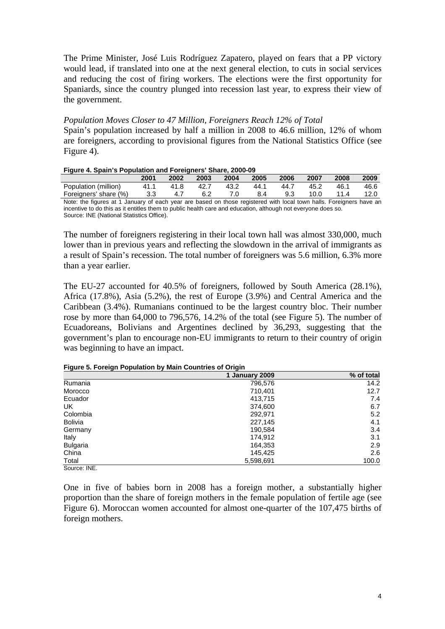The Prime Minister, José Luis Rodríguez Zapatero, played on fears that a PP victory would lead, if translated into one at the next general election, to cuts in social services and reducing the cost of firing workers. The elections were the first opportunity for Spaniards, since the country plunged into recession last year, to express their view of the government.

### *Population Moves Closer to 47 Million, Foreigners Reach 12% of Total*

Spain's population increased by half a million in 2008 to 46.6 million, 12% of whom are foreigners, according to provisional figures from the National Statistics Office (see Figure 4).

#### **Figure 4. Spain's Population and Foreigners' Share, 2000-09**

|                                                                                                                    | 2001 | 2002 | 2003 | 2004 | 2005 | 2006 | 2007 | 2008 | 2009 |
|--------------------------------------------------------------------------------------------------------------------|------|------|------|------|------|------|------|------|------|
| Population (million)                                                                                               | 41 1 | 41.8 | 42.7 | 43.2 | 44.1 | 44.7 | 45.2 | 46.1 | 46.6 |
| Foreigners' share (%)                                                                                              |      |      | 6.2  |      |      | 9.3  | 10.0 | 11.4 | 12.0 |
| Note the figures at 1 January of each year are based on those registered with local town halls. Foreigners have an |      |      |      |      |      |      |      |      |      |

ear are based on those registered with local town halls. Foreigners have an incentive to do this as it entitles them to public health care and education, although not everyone does so. Source: INE (National Statistics Office).

The number of foreigners registering in their local town hall was almost 330,000, much lower than in previous years and reflecting the slowdown in the arrival of immigrants as a result of Spain's recession. The total number of foreigners was 5.6 million, 6.3% more than a year earlier.

The EU-27 accounted for 40.5% of foreigners, followed by South America (28.1%), Africa (17.8%), Asia (5.2%), the rest of Europe (3.9%) and Central America and the Caribbean (3.4%). Rumanians continued to be the largest country bloc. Their number rose by more than 64,000 to 796,576, 14.2% of the total (see Figure 5). The number of Ecuadoreans, Bolivians and Argentines declined by 36,293, suggesting that the government's plan to encourage non-EU immigrants to return to their country of origin was beginning to have an impact.

| Figure 5. Foreign Population by Main Countries of Origin |  |
|----------------------------------------------------------|--|
|----------------------------------------------------------|--|

| $\ddot{\phantom{0}}$<br>- | -              |            |
|---------------------------|----------------|------------|
|                           | 1 January 2009 | % of total |
| Rumania                   | 796,576        | 14.2       |
| Morocco                   | 710,401        | 12.7       |
| Ecuador                   | 413,715        | 7.4        |
| UK.                       | 374,600        | 6.7        |
| Colombia                  | 292,971        | 5.2        |
| <b>Bolivia</b>            | 227,145        | 4.1        |
| Germany                   | 190,584        | 3.4        |
| Italy                     | 174,912        | 3.1        |
| <b>Bulgaria</b>           | 164,353        | 2.9        |
| China                     | 145,425        | 2.6        |
| Total                     | 5,598,691      | 100.0      |
| $\sim$ $\sim$ $\sim$      |                |            |

Source: INE.

One in five of babies born in 2008 has a foreign mother, a substantially higher proportion than the share of foreign mothers in the female population of fertile age (see Figure 6). Moroccan women accounted for almost one-quarter of the 107,475 births of foreign mothers.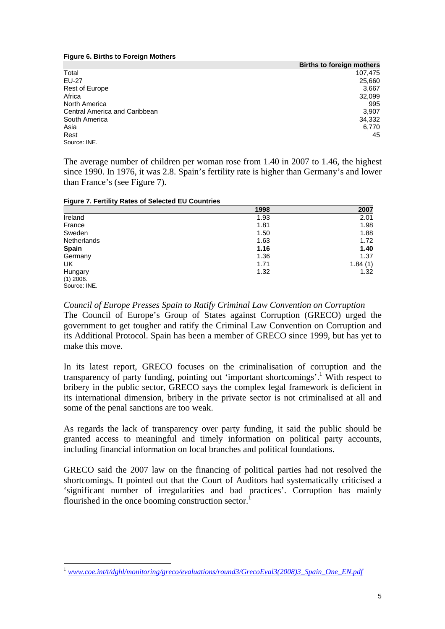**Figure 6. Births to Foreign Mothers** 

|                               | <b>Births to foreign mothers</b> |
|-------------------------------|----------------------------------|
| Total                         | 107,475                          |
| <b>EU-27</b>                  | 25,660                           |
| Rest of Europe                | 3,667                            |
| Africa                        | 32,099                           |
| North America                 | 995                              |
| Central America and Caribbean | 3,907                            |
| South America                 | 34,332                           |
| Asia                          | 6,770                            |
| Rest                          | 45                               |
| Source: INE.                  |                                  |

The average number of children per woman rose from 1.40 in 2007 to 1.46, the highest since 1990. In 1976, it was 2.8. Spain's fertility rate is higher than Germany's and lower than France's (see Figure 7).

|  | Figure 7. Fertility Rates of Selected EU Countries |  |
|--|----------------------------------------------------|--|
|  |                                                    |  |

|              | 1998 | 2007    |
|--------------|------|---------|
| Ireland      | 1.93 | 2.01    |
| France       | 1.81 | 1.98    |
| Sweden       | 1.50 | 1.88    |
| Netherlands  | 1.63 | 1.72    |
| <b>Spain</b> | 1.16 | 1.40    |
| Germany      | 1.36 | 1.37    |
| UK           | 1.71 | 1.84(1) |
| Hungary      | 1.32 | 1.32    |
| $(1)$ 2006.  |      |         |
| Source: INE. |      |         |

*Council of Europe Presses Spain to Ratify Criminal Law Convention on Corruption*  The Council of Europe's Group of States against Corruption (GRECO) urged the government to get tougher and ratify the Criminal Law Convention on Corruption and its Additional Protocol. Spain has been a member of GRECO since 1999, but has yet to make this move.

In its latest report, GRECO focuses on the criminalisation of corruption and the transparency of party funding, pointing out 'important shortcomings'.<sup>1</sup> With respect to bribery in the public sector, GRECO says the complex legal framework is deficient in its international dimension, bribery in the private sector is not criminalised at all and some of the penal sanctions are too weak.

As regards the lack of transparency over party funding, it said the public should be granted access to meaningful and timely information on political party accounts, including financial information on local branches and political foundations.

GRECO said the 2007 law on the financing of political parties had not resolved the shortcomings. It pointed out that the Court of Auditors had systematically criticised a 'significant number of irregularities and bad practices'. Corruption has mainly flourished in the once booming construction sector.

<span id="page-4-0"></span> $\overline{a}$ <sup>1</sup> *[www.coe.int/t/dghl/monitoring/greco/evaluations/round3/GrecoEval3\(2008\)3\\_Spain\\_One\\_EN.pdf](www.coe.int/t/dghl/monitoring/greco/evaluations/round3/GrecoEval3(2008)3_Spain_One_EN.pdf)*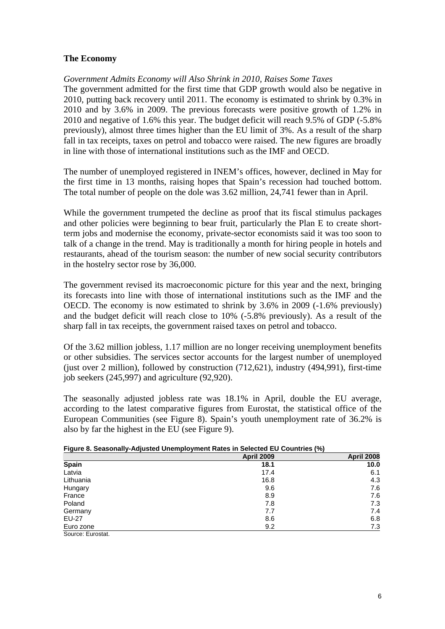# **The Economy**

## *Government Admits Economy will Also Shrink in 2010, Raises Some Taxes*

The government admitted for the first time that GDP growth would also be negative in 2010, putting back recovery until 2011. The economy is estimated to shrink by 0.3% in 2010 and by 3.6% in 2009. The previous forecasts were positive growth of 1.2% in 2010 and negative of 1.6% this year. The budget deficit will reach 9.5% of GDP (-5.8% previously), almost three times higher than the EU limit of 3%. As a result of the sharp fall in tax receipts, taxes on petrol and tobacco were raised. The new figures are broadly in line with those of international institutions such as the IMF and OECD.

The number of unemployed registered in INEM's offices, however, declined in May for the first time in 13 months, raising hopes that Spain's recession had touched bottom. The total number of people on the dole was 3.62 million, 24,741 fewer than in April.

While the government trumpeted the decline as proof that its fiscal stimulus packages and other policies were beginning to bear fruit, particularly the Plan E to create shortterm jobs and modernise the economy, private-sector economists said it was too soon to talk of a change in the trend. May is traditionally a month for hiring people in hotels and restaurants, ahead of the tourism season: the number of new social security contributors in the hostelry sector rose by 36,000.

The government revised its macroeconomic picture for this year and the next, bringing its forecasts into line with those of international institutions such as the IMF and the OECD. The economy is now estimated to shrink by 3.6% in 2009 (-1.6% previously) and the budget deficit will reach close to 10% (-5.8% previously). As a result of the sharp fall in tax receipts, the government raised taxes on petrol and tobacco.

Of the 3.62 million jobless, 1.17 million are no longer receiving unemployment benefits or other subsidies. The services sector accounts for the largest number of unemployed (just over 2 million), followed by construction (712,621), industry (494,991), first-time job seekers (245,997) and agriculture (92,920).

The seasonally adjusted jobless rate was 18.1% in April, double the EU average, according to the latest comparative figures from Eurostat, the statistical office of the European Communities (see Figure 8). Spain's youth unemployment rate of 36.2% is also by far the highest in the EU (see Figure 9).

|                   | <b>April 2009</b> | <b>April 2008</b> |
|-------------------|-------------------|-------------------|
| <b>Spain</b>      | 18.1              | 10.0              |
| Latvia            | 17.4              | 6.1               |
| Lithuania         | 16.8              | 4.3               |
| Hungary           | 9.6               | 7.6               |
| France            | 8.9               | 7.6               |
| Poland            | 7.8               | 7.3               |
| Germany           | 7.7               | 7.4               |
| <b>EU-27</b>      | 8.6               | 6.8               |
| Euro zone         | 9.2               | 7.3               |
| Source: Eurostat. |                   |                   |

#### **Figure 8. Seasonally-Adjusted Unemployment Rates in Selected EU Countries (%)**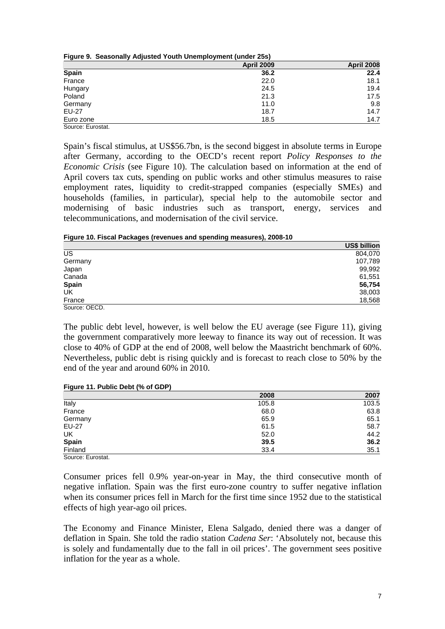| Figure 9. Seasonally Adjusted Youth Unemployment (under 25s) |  |
|--------------------------------------------------------------|--|
|--------------------------------------------------------------|--|

|              | <b>April 2009</b> | <b>April 2008</b> |
|--------------|-------------------|-------------------|
| <b>Spain</b> | 36.2              | 22.4              |
| France       | 22.0              | 18.1              |
| Hungary      | 24.5              | 19.4              |
| Poland       | 21.3              | 17.5              |
| Germany      | 11.0              | 9.8               |
| EU-27        | 18.7              | 14.7              |
| Euro zone    | 18.5              | 14.7              |

Source: Eurostat.

Spain's fiscal stimulus, at US\$56.7bn, is the second biggest in absolute terms in Europe after Germany, according to the OECD's recent report *Policy Responses to the Economic Crisis* (see Figure 10). The calculation based on information at the end of April covers tax cuts, spending on public works and other stimulus measures to raise employment rates, liquidity to credit-strapped companies (especially SMEs) and households (families, in particular), special help to the automobile sector and modernising of basic industries such as transport, energy, services and telecommunications, and modernisation of the civil service.

**Figure 10. Fiscal Packages (revenues and spending measures), 2008-10** 

|               | US\$ billion |
|---------------|--------------|
| US            | 804,070      |
| Germany       | 107,789      |
| Japan         | 99,992       |
| Canada        | 61,551       |
| <b>Spain</b>  | 56,754       |
| UK            | 38,003       |
| France        | 18,568       |
| Source: OECD. |              |

The public debt level, however, is well below the EU average (see Figure 11), giving the government comparatively more leeway to finance its way out of recession. It was close to 40% of GDP at the end of 2008, well below the Maastricht benchmark of 60%. Nevertheless, public debt is rising quickly and is forecast to reach close to 50% by the end of the year and around 60% in 2010.

| Figure 11. Public Debt (% of GDP) |  |  |  |
|-----------------------------------|--|--|--|
|                                   |  |  |  |

|                   | 2008  | 2007  |
|-------------------|-------|-------|
| Italy             | 105.8 | 103.5 |
| France            | 68.0  | 63.8  |
| Germany           | 65.9  | 65.1  |
| EU-27             | 61.5  | 58.7  |
| UK                | 52.0  | 44.2  |
| Spain             | 39.5  | 36.2  |
| Finland           | 33.4  | 35.1  |
| Source: Eurostat. |       |       |

Consumer prices fell 0.9% year-on-year in May, the third consecutive month of negative inflation. Spain was the first euro-zone country to suffer negative inflation when its consumer prices fell in March for the first time since 1952 due to the statistical effects of high year-ago oil prices.

The Economy and Finance Minister, Elena Salgado, denied there was a danger of deflation in Spain. She told the radio station *Cadena Ser*: 'Absolutely not, because this is solely and fundamentally due to the fall in oil prices'. The government sees positive inflation for the year as a whole.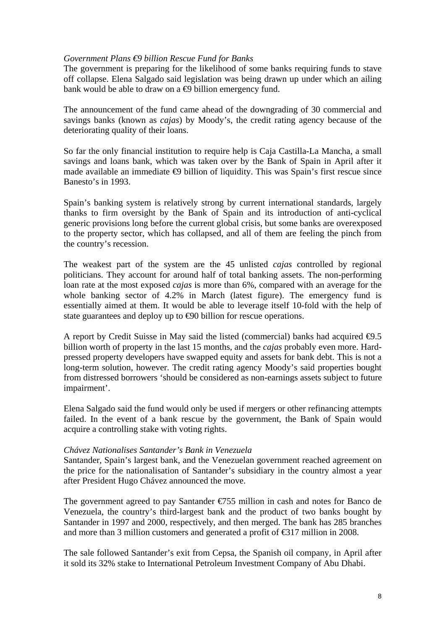### *Government Plans €9 billion Rescue Fund for Banks*

The government is preparing for the likelihood of some banks requiring funds to stave off collapse. Elena Salgado said legislation was being drawn up under which an ailing bank would be able to draw on a  $\oplus$  billion emergency fund.

The announcement of the fund came ahead of the downgrading of 30 commercial and savings banks (known as *cajas*) by Moody's, the credit rating agency because of the deteriorating quality of their loans.

So far the only financial institution to require help is Caja Castilla-La Mancha, a small savings and loans bank, which was taken over by the Bank of Spain in April after it made available an immediate  $\oplus$  billion of liquidity. This was Spain's first rescue since Banesto's in 1993.

Spain's banking system is relatively strong by current international standards, largely thanks to firm oversight by the Bank of Spain and its introduction of anti-cyclical generic provisions long before the current global crisis, but some banks are overexposed to the property sector, which has collapsed, and all of them are feeling the pinch from the country's recession.

The weakest part of the system are the 45 unlisted *cajas* controlled by regional politicians. They account for around half of total banking assets. The non-performing loan rate at the most exposed *cajas* is more than 6%, compared with an average for the whole banking sector of 4.2% in March (latest figure). The emergency fund is essentially aimed at them. It would be able to leverage itself 10-fold with the help of state guarantees and deploy up to  $\bigoplus$  billion for rescue operations.

A report by Credit Suisse in May said the listed (commercial) banks had acquired  $\Theta$ .5 billion worth of property in the last 15 months, and the *cajas* probably even more. Hardpressed property developers have swapped equity and assets for bank debt. This is not a long-term solution, however. The credit rating agency Moody's said properties bought from distressed borrowers 'should be considered as non-earnings assets subject to future impairment'.

Elena Salgado said the fund would only be used if mergers or other refinancing attempts failed. In the event of a bank rescue by the government, the Bank of Spain would acquire a controlling stake with voting rights.

### *Chávez Nationalises Santander's Bank in Venezuela*

Santander, Spain's largest bank, and the Venezuelan government reached agreement on the price for the nationalisation of Santander's subsidiary in the country almost a year after President Hugo Chávez announced the move.

The government agreed to pay Santander  $\epsilon$ 755 million in cash and notes for Banco de Venezuela, the country's third-largest bank and the product of two banks bought by Santander in 1997 and 2000, respectively, and then merged. The bank has 285 branches and more than 3 million customers and generated a profit of  $\epsilon$ 317 million in 2008.

The sale followed Santander's exit from Cepsa, the Spanish oil company, in April after it sold its 32% stake to International Petroleum Investment Company of Abu Dhabi.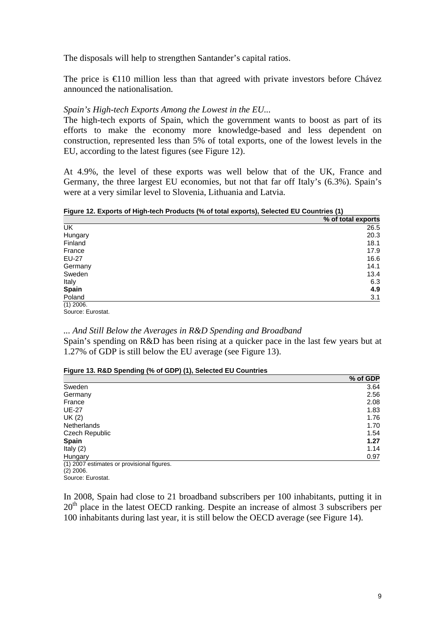The disposals will help to strengthen Santander's capital ratios.

The price is  $\in$  10 million less than that agreed with private investors before Chávez announced the nationalisation.

### *Spain's High-tech Exports Among the Lowest in the EU...*

The high-tech exports of Spain, which the government wants to boost as part of its efforts to make the economy more knowledge-based and less dependent on construction, represented less than 5% of total exports, one of the lowest levels in the EU, according to the latest figures (see Figure 12).

At 4.9%, the level of these exports was well below that of the UK, France and Germany, the three largest EU economies, but not that far off Italy's (6.3%). Spain's were at a very similar level to Slovenia, Lithuania and Latvia.

**Figure 12. Exports of High-tech Products (% of total exports), Selected EU Countries (1)** 

|              | % of total exports |
|--------------|--------------------|
| <b>UK</b>    | 26.5               |
| Hungary      | 20.3               |
| Finland      | 18.1               |
| France       | 17.9               |
| EU-27        | 16.6               |
| Germany      | 14.1               |
| Sweden       | 13.4               |
| Italy        | 6.3                |
| <b>Spain</b> | 4.9                |
| Poland       | 3.1                |
| $(1)$ 2006.  |                    |

Source: Eurostat.

### *... And Still Below the Averages in R&D Spending and Broadband*

Spain's spending on R&D has been rising at a quicker pace in the last few years but at 1.27% of GDP is still below the EU average (see Figure 13).

### **Figure 13. R&D Spending (% of GDP) (1), Selected EU Countries**

|                                            | % of GDP |
|--------------------------------------------|----------|
| Sweden                                     | 3.64     |
| Germany                                    | 2.56     |
| France                                     | 2.08     |
| <b>UE-27</b>                               | 1.83     |
| UK (2)                                     | 1.76     |
| Netherlands                                | 1.70     |
| Czech Republic                             | 1.54     |
| <b>Spain</b>                               | 1.27     |
| Italy $(2)$                                | 1.14     |
| Hungary                                    | 0.97     |
| (1) 2007 estimates or provisional figures. |          |

 $(2)$  2006.

Source: Eurostat.

In 2008, Spain had close to 21 broadband subscribers per 100 inhabitants, putting it in 20<sup>th</sup> place in the latest OECD ranking. Despite an increase of almost 3 subscribers per 100 inhabitants during last year, it is still below the OECD average (see Figure 14).